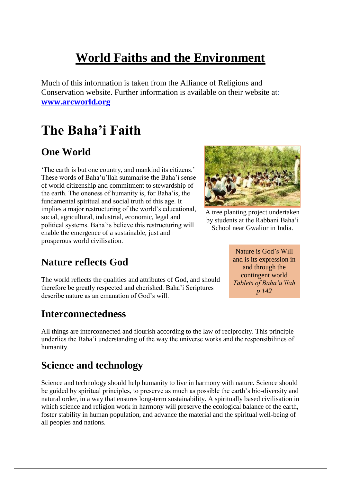# **World Faiths and the Environment**

Much of this information is taken from the Alliance of Religions and Conservation website. Further information is available on their website at: **[www.arcworld.org](http://www.arcworld.org/)**

# **The Baha'i Faith**

## **One World**

'The earth is but one country, and mankind its citizens.' These words of Baha'u'llah summarise the Baha'i sense of world citizenship and commitment to stewardship of the earth. The oneness of humanity is, for Baha'is, the fundamental spiritual and social truth of this age. It implies a major restructuring of the world's educational, social, agricultural, industrial, economic, legal and political systems. Baha'is believe this restructuring will enable the emergence of a sustainable, just and prosperous world civilisation.



A tree planting project undertaken by students at the Rabbani Baha'i School near Gwalior in India.

## **Nature reflects God**

The world reflects the qualities and attributes of God, and should therefore be greatly respected and cherished. Baha'i Scriptures describe nature as an emanation of God's will.

#### **Interconnectedness**

All things are interconnected and flourish according to the law of reciprocity. This principle underlies the Baha'i understanding of the way the universe works and the responsibilities of humanity.

#### **Science and technology**

Science and technology should help humanity to live in harmony with nature. Science should be guided by spiritual principles, to preserve as much as possible the earth's bio-diversity and natural order, in a way that ensures long-term sustainability. A spiritually based civilisation in which science and religion work in harmony will preserve the ecological balance of the earth, foster stability in human population, and advance the material and the spiritual well-being of all peoples and nations.

Nature is God's Will and is its expression in and through the contingent world *Tablets of Baha'u'llah p 142*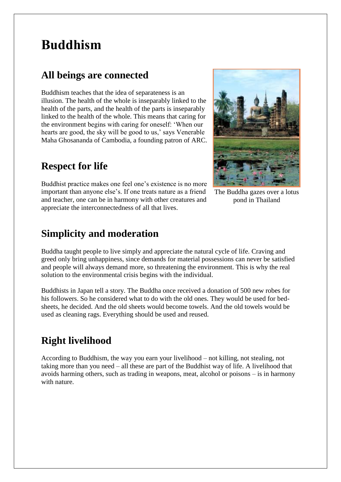# **Buddhism**

### **All beings are connected**

Buddhism teaches that the idea of separateness is an illusion. The health of the whole is inseparably linked to the health of the parts, and the health of the parts is inseparably linked to the health of the whole. This means that caring for the environment begins with caring for oneself: 'When our hearts are good, the sky will be good to us,' says Venerable Maha Ghosananda of Cambodia, a founding patron of ARC.

### **Respect for life**

Buddhist practice makes one feel one's existence is no more important than anyone else's. If one treats nature as a friend and teacher, one can be in harmony with other creatures and appreciate the interconnectedness of all that lives.



The Buddha gazes over a lotus pond in Thailand

#### **Simplicity and moderation**

Buddha taught people to live simply and appreciate the natural cycle of life. Craving and greed only bring unhappiness, since demands for material possessions can never be satisfied and people will always demand more, so threatening the environment. This is why the real solution to the environmental crisis begins with the individual.

Buddhists in Japan tell a story. The Buddha once received a donation of 500 new robes for his followers. So he considered what to do with the old ones. They would be used for bedsheets, he decided. And the old sheets would become towels. And the old towels would be used as cleaning rags. Everything should be used and reused.

## **Right livelihood**

According to Buddhism, the way you earn your livelihood – not killing, not stealing, not taking more than you need – all these are part of the Buddhist way of life. A livelihood that avoids harming others, such as trading in weapons, meat, alcohol or poisons – is in harmony with nature.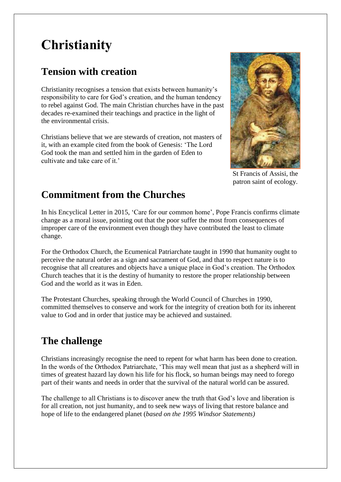# **Christianity**

# **Tension with creation**

Christianity recognises a tension that exists between humanity's responsibility to care for God's creation, and the human tendency to rebel against God. The main Christian churches have in the past decades re-examined their teachings and practice in the light of the environmental crisis.

Christians believe that we are stewards of creation, not masters of it, with an example cited from the book of Genesis: 'The Lord God took the man and settled him in the garden of Eden to cultivate and take care of it.'



St Francis of Assisi, the patron saint of ecology.

# **Commitment from the Churches**

In his Encyclical Letter in 2015, 'Care for our common home', Pope Francis confirms climate change as a moral issue, pointing out that the poor suffer the most from consequences of improper care of the environment even though they have contributed the least to climate change.

For the Orthodox Church, the Ecumenical Patriarchate taught in 1990 that humanity ought to perceive the natural order as a sign and sacrament of God, and that to respect nature is to recognise that all creatures and objects have a unique place in God's creation. The Orthodox Church teaches that it is the destiny of humanity to restore the proper relationship between God and the world as it was in Eden.

The Protestant Churches, speaking through the World Council of Churches in 1990, committed themselves to conserve and work for the integrity of creation both for its inherent value to God and in order that justice may be achieved and sustained.

# **The challenge**

Christians increasingly recognise the need to repent for what harm has been done to creation. In the words of the Orthodox Patriarchate, 'This may well mean that just as a shepherd will in times of greatest hazard lay down his life for his flock, so human beings may need to forego part of their wants and needs in order that the survival of the natural world can be assured.

The challenge to all Christians is to discover anew the truth that God's love and liberation is for all creation, not just humanity, and to seek new ways of living that restore balance and hope of life to the endangered planet (*based on the 1995 Windsor Statements)*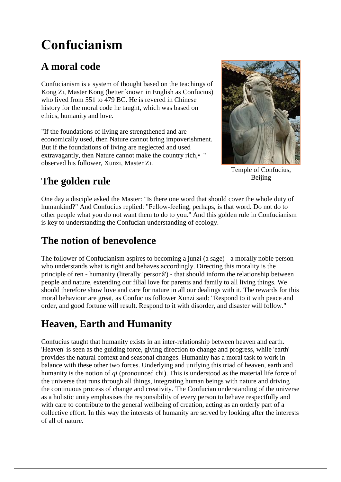# **Confucianism**

# **A moral code**

Confucianism is a system of thought based on the teachings of Kong Zi, Master Kong (better known in English as Confucius) who lived from 551 to 479 BC. He is revered in Chinese history for the moral code he taught, which was based on ethics, humanity and love.

"If the foundations of living are strengthened and are economically used, then Nature cannot bring impoverishment. But if the foundations of living are neglected and used extravagantly, then Nature cannot make the country rich,•" observed his follower, Xunzi, Master Zi.



Temple of Confucius, Beijing

# **The golden rule**

One day a disciple asked the Master: "Is there one word that should cover the whole duty of humankind?" And Confucius replied: "Fellow-feeling, perhaps, is that word. Do not do to other people what you do not want them to do to you." And this golden rule in Confucianism is key to understanding the Confucian understanding of ecology.

# **The notion of benevolence**

The follower of Confucianism aspires to becoming a junzi (a sage) - a morally noble person who understands what is right and behaves accordingly. Directing this morality is the principle of ren - humanity (literally 'personâ') - that should inform the relationship between people and nature, extending our filial love for parents and family to all living things. We should therefore show love and care for nature in all our dealings with it. The rewards for this moral behaviour are great, as Confucius follower Xunzi said: "Respond to it with peace and order, and good fortune will result. Respond to it with disorder, and disaster will follow."

# **Heaven, Earth and Humanity**

Confucius taught that humanity exists in an inter-relationship between heaven and earth. 'Heaven' is seen as the guiding force, giving direction to change and progress, while 'earth' provides the natural context and seasonal changes. Humanity has a moral task to work in balance with these other two forces. Underlying and unifying this triad of heaven, earth and humanity is the notion of *qi* (pronounced chi). This is understood as the material life force of the universe that runs through all things, integrating human beings with nature and driving the continuous process of change and creativity. The Confucian understanding of the universe as a holistic unity emphasises the responsibility of every person to behave respectfully and with care to contribute to the general wellbeing of creation, acting as an orderly part of a collective effort. In this way the interests of humanity are served by looking after the interests of all of nature.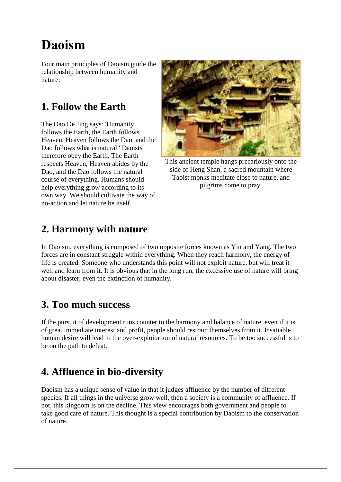# **Daoism**

Four main principles of Daoism guide the relationship between humanity and nature:

### **1. Follow the Earth**

The Dao De Jing says: 'Humanity follows the Earth, the Earth follows Heaven, Heaven follows the Dao, and the Dao follows what is natural.' Daoists therefore obey the Earth. The Earth respects Heaven, Heaven abides by the Dao, and the Dao follows the natural course of everything. Humans should help everything grow according to its own way. We should cultivate the way of no-action and let nature be itself.



This ancient temple hangs precariously onto the side of Heng Shan, a sacred mountain where Taoist monks meditate close to nature, and pilgrims come to pray.

### **2. Harmony with nature**

In Daoism, everything is composed of two opposite forces known as Yin and Yang. The two forces are in constant struggle within everything. When they reach harmony, the energy of life is created. Someone who understands this point will not exploit nature, but will treat it well and learn from it. It is obvious that in the long run, the excessive use of nature will bring about disaster, even the extinction of humanity.

#### **3. Too much success**

If the pursuit of development runs counter to the harmony and balance of nature, even if it is of great immediate interest and profit, people should restrain themselves from it. Insatiable human desire will lead to the over-exploitation of natural resources. To be too successful is to be on the path to defeat.

## **4. Affluence in bio-diversity**

Daoism has a unique sense of value in that it judges affluence by the number of different species. If all things in the universe grow well, then a society is a community of affluence. If not, this kingdom is on the decline. This view encourages both government and people to take good care of nature. This thought is a special contribution by Daoism to the conservation of nature.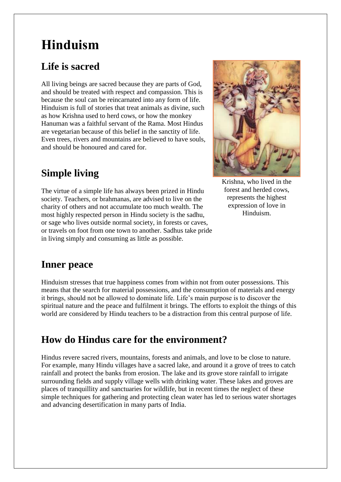# **Hinduism**

## **Life is sacred**

All living beings are sacred because they are parts of God, and should be treated with respect and compassion. This is because the soul can be reincarnated into any form of life. Hinduism is full of stories that treat animals as divine, such as how Krishna used to herd cows, or how the monkey Hanuman was a faithful servant of the Rama. Most Hindus are vegetarian because of this belief in the sanctity of life. Even trees, rivers and mountains are believed to have souls, and should be honoured and cared for.

# **Simple living**

The virtue of a simple life has always been prized in Hindu society. Teachers, or brahmanas, are advised to live on the charity of others and not accumulate too much wealth. The most highly respected person in Hindu society is the sadhu, or sage who lives outside normal society, in forests or caves, or travels on foot from one town to another. Sadhus take pride in living simply and consuming as little as possible.



Krishna, who lived in the forest and herded cows, represents the highest expression of love in Hinduism.

#### **Inner peace**

Hinduism stresses that true happiness comes from within not from outer possessions. This means that the search for material possessions, and the consumption of materials and energy it brings, should not be allowed to dominate life. Life's main purpose is to discover the spiritual nature and the peace and fulfilment it brings. The efforts to exploit the things of this world are considered by Hindu teachers to be a distraction from this central purpose of life.

## **How do Hindus care for the environment?**

Hindus revere sacred rivers, mountains, forests and animals, and love to be close to nature. For example, many Hindu villages have a sacred lake, and around it a grove of trees to catch rainfall and protect the banks from erosion. The lake and its grove store rainfall to irrigate surrounding fields and supply village wells with drinking water. These lakes and groves are places of tranquillity and sanctuaries for wildlife, but in recent times the neglect of these simple techniques for gathering and protecting clean water has led to serious water shortages and advancing desertification in many parts of India.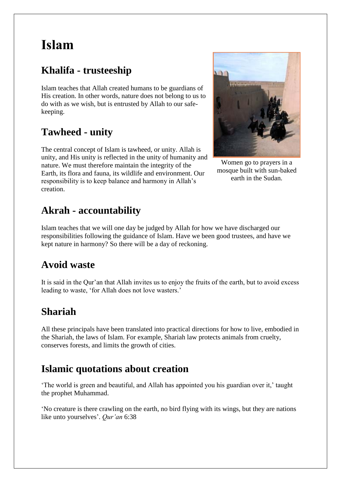# **Islam**

# **Khalifa - trusteeship**

Islam teaches that Allah created humans to be guardians of His creation. In other words, nature does not belong to us to do with as we wish, but is entrusted by Allah to our safekeeping.

## **Tawheed - unity**

The central concept of Islam is tawheed, or unity. Allah is unity, and His unity is reflected in the unity of humanity and nature. We must therefore maintain the integrity of the Earth, its flora and fauna, its wildlife and environment. Our responsibility is to keep balance and harmony in Allah's creation.

## **Akrah - accountability**

Islam teaches that we will one day be judged by Allah for how we have discharged our responsibilities following the guidance of Islam. Have we been good trustees, and have we kept nature in harmony? So there will be a day of reckoning.

#### **Avoid waste**

It is said in the Qur'an that Allah invites us to enjoy the fruits of the earth, but to avoid excess leading to waste, 'for Allah does not love wasters.'

## **Shariah**

All these principals have been translated into practical directions for how to live, embodied in the Shariah, the laws of Islam. For example, Shariah law protects animals from cruelty, conserves forests, and limits the growth of cities.

#### **Islamic quotations about creation**

'The world is green and beautiful, and Allah has appointed you his guardian over it,' taught the prophet Muhammad.

'No creature is there crawling on the earth, no bird flying with its wings, but they are nations like unto yourselves'. *Qur'an* 6:38



Women go to prayers in a mosque built with sun-baked earth in the Sudan.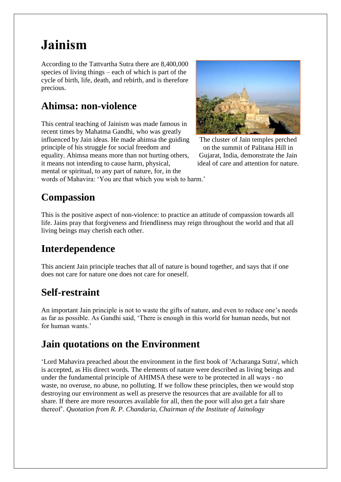# **Jainism**

According to the Tattvartha Sutra there are 8,400,000 species of living things – each of which is part of the cycle of birth, life, death, and rebirth, and is therefore precious.

## **Ahimsa: non-violence**

This central teaching of Jainism was made famous in recent times by Mahatma Gandhi, who was greatly influenced by Jain ideas. He made ahimsa the guiding principle of his struggle for social freedom and equality. Ahimsa means more than not hurting others, it means not intending to cause harm, physical, mental or spiritual, to any part of nature, for, in the



The cluster of Jain temples perched on the summit of Palitana Hill in Gujarat, India, demonstrate the Jain ideal of care and attention for nature.

words of Mahavira: 'You are that which you wish to harm.'

# **Compassion**

This is the positive aspect of non-violence: to practice an attitude of compassion towards all life. Jains pray that forgiveness and friendliness may reign throughout the world and that all living beings may cherish each other.

# **Interdependence**

This ancient Jain principle teaches that all of nature is bound together, and says that if one does not care for nature one does not care for oneself.

## **Self-restraint**

An important Jain principle is not to waste the gifts of nature, and even to reduce one's needs as far as possible. As Gandhi said, 'There is enough in this world for human needs, but not for human wants.'

## **Jain quotations on the Environment**

'Lord Mahavira preached about the environment in the first book of 'Acharanga Sutra', which is accepted, as His direct words. The elements of nature were described as living beings and under the fundamental principle of AHIMSA these were to be protected in all ways - no waste, no overuse, no abuse, no polluting. If we follow these principles, then we would stop destroying our environment as well as preserve the resources that are available for all to share. If there are more resources available for all, then the poor will also get a fair share thereof'. *Quotation from R. P. Chandaria, Chairman of the Institute of Jainology*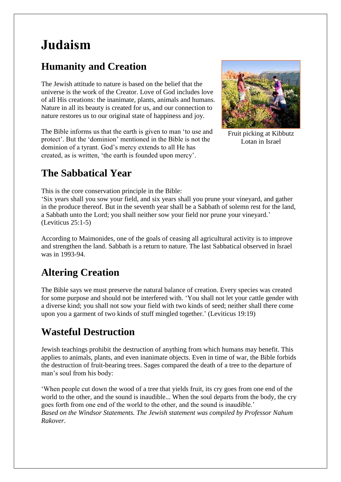# **Judaism**

# **Humanity and Creation**

The Jewish attitude to nature is based on the belief that the universe is the work of the Creator. Love of God includes love of all His creations: the inanimate, plants, animals and humans. Nature in all its beauty is created for us, and our connection to nature restores us to our original state of happiness and joy.

The Bible informs us that the earth is given to man 'to use and protect'. But the 'dominion' mentioned in the Bible is not the dominion of a tyrant. God's mercy extends to all He has created, as is written, 'the earth is founded upon mercy'.



Fruit picking at Kibbutz Lotan in Israel

# **The Sabbatical Year**

This is the core conservation principle in the Bible:

'Six years shall you sow your field, and six years shall you prune your vineyard, and gather in the produce thereof. But in the seventh year shall be a Sabbath of solemn rest for the land, a Sabbath unto the Lord; you shall neither sow your field nor prune your vineyard.' (Leviticus 25:1-5)

According to Maimonides, one of the goals of ceasing all agricultural activity is to improve and strengthen the land. Sabbath is a return to nature. The last Sabbatical observed in Israel was in 1993-94.

# **Altering Creation**

The Bible says we must preserve the natural balance of creation. Every species was created for some purpose and should not be interfered with. 'You shall not let your cattle gender with a diverse kind; you shall not sow your field with two kinds of seed; neither shall there come upon you a garment of two kinds of stuff mingled together.' (Leviticus 19:19)

# **Wasteful Destruction**

Jewish teachings prohibit the destruction of anything from which humans may benefit. This applies to animals, plants, and even inanimate objects. Even in time of war, the Bible forbids the destruction of fruit-bearing trees. Sages compared the death of a tree to the departure of man's soul from his body:

'When people cut down the wood of a tree that yields fruit, its cry goes from one end of the world to the other, and the sound is inaudible... When the soul departs from the body, the cry goes forth from one end of the world to the other, and the sound is inaudible.' *Based on the Windsor Statements. The Jewish statement was compiled by Professor Nahum Rakover.*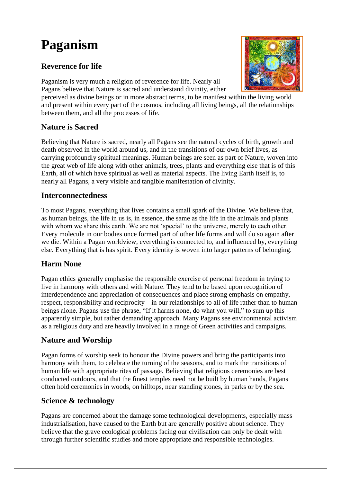# **Paganism**

#### **Reverence for life**

Paganism is very much a religion of reverence for life. Nearly all Pagans believe that Nature is sacred and understand divinity, either



#### **Nature is Sacred**

Believing that Nature is sacred, nearly all Pagans see the natural cycles of birth, growth and death observed in the world around us, and in the transitions of our own brief lives, as carrying profoundly spiritual meanings. Human beings are seen as part of Nature, woven into the great web of life along with other animals, trees, plants and everything else that is of this Earth, all of which have spiritual as well as material aspects. The living Earth itself is, to nearly all Pagans, a very visible and tangible manifestation of divinity.

#### **Interconnectedness**

To most Pagans, everything that lives contains a small spark of the Divine. We believe that, as human beings, the life in us is, in essence, the same as the life in the animals and plants with whom we share this earth. We are not 'special' to the universe, merely to each other. Every molecule in our bodies once formed part of other life forms and will do so again after we die. Within a Pagan worldview, everything is connected to, and influenced by, everything else. Everything that is has spirit. Every identity is woven into larger patterns of belonging.

#### **Harm None**

Pagan ethics generally emphasise the responsible exercise of personal freedom in trying to live in harmony with others and with Nature. They tend to be based upon recognition of interdependence and appreciation of consequences and place strong emphasis on empathy, respect, responsibility and reciprocity – in our relationships to all of life rather than to human beings alone. Pagans use the phrase, "If it harms none, do what you will," to sum up this apparently simple, but rather demanding approach. Many Pagans see environmental activism as a religious duty and are heavily involved in a range of Green activities and campaigns.

#### **Nature and Worship**

Pagan forms of worship seek to honour the Divine powers and bring the participants into harmony with them, to celebrate the turning of the seasons, and to mark the transitions of human life with appropriate rites of passage. Believing that religious ceremonies are best conducted outdoors, and that the finest temples need not be built by human hands, Pagans often hold ceremonies in woods, on hilltops, near standing stones, in parks or by the sea.

#### **Science & technology**

Pagans are concerned about the damage some technological developments, especially mass industrialisation, have caused to the Earth but are generally positive about science. They believe that the grave ecological problems facing our civilisation can only be dealt with through further scientific studies and more appropriate and responsible technologies.

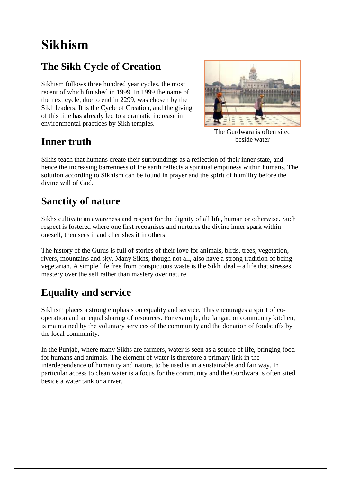# **Sikhism**

# **The Sikh Cycle of Creation**

Sikhism follows three hundred year cycles, the most recent of which finished in 1999. In 1999 the name of the next cycle, due to end in 2299, was chosen by the Sikh leaders. It is the Cycle of Creation, and the giving of this title has already led to a dramatic increase in environmental practices by Sikh temples.





The Gurdwara is often sited beside water

Sikhs teach that humans create their surroundings as a reflection of their inner state, and hence the increasing barrenness of the earth reflects a spiritual emptiness within humans. The solution according to Sikhism can be found in prayer and the spirit of humility before the divine will of God.

# **Sanctity of nature**

Sikhs cultivate an awareness and respect for the dignity of all life, human or otherwise. Such respect is fostered where one first recognises and nurtures the divine inner spark within oneself, then sees it and cherishes it in others.

The history of the Gurus is full of stories of their love for animals, birds, trees, vegetation, rivers, mountains and sky. Many Sikhs, though not all, also have a strong tradition of being vegetarian. A simple life free from conspicuous waste is the Sikh ideal – a life that stresses mastery over the self rather than mastery over nature.

# **Equality and service**

Sikhism places a strong emphasis on equality and service. This encourages a spirit of cooperation and an equal sharing of resources. For example, the langar, or community kitchen, is maintained by the voluntary services of the community and the donation of foodstuffs by the local community.

In the Punjab, where many Sikhs are farmers, water is seen as a source of life, bringing food for humans and animals. The element of water is therefore a primary link in the interdependence of humanity and nature, to be used is in a sustainable and fair way. In particular access to clean water is a focus for the community and the Gurdwara is often sited beside a water tank or a river.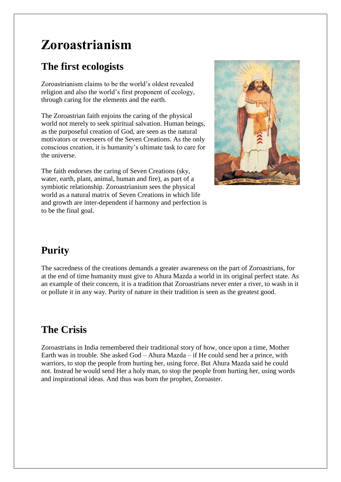# **Zoroastrianism**

# **The first ecologists**

Zoroastrianism claims to be the world's oldest revealed religion and also the world's first proponent of ecology, through caring for the elements and the earth.

The Zoroastrian faith enjoins the caring of the physical world not merely to seek spiritual salvation. Human beings, as the purposeful creation of God, are seen as the natural motivators or overseers of the Seven Creations. As the only conscious creation, it is humanity's ultimate task to care for the universe.

The faith endorses the caring of Seven Creations (sky, water, earth, plant, animal, human and fire), as part of a symbiotic relationship. Zoroastrianism sees the physical world as a natural matrix of Seven Creations in which life and growth are inter-dependent if harmony and perfection is to be the final goal.



## **Purity**

The sacredness of the creations demands a greater awareness on the part of Zoroastrians, for at the end of time humanity must give to Ahura Mazda a world in its original perfect state. As an example of their concern, it is a tradition that Zoroastrians never enter a river, to wash in it or pollute it in any way. Purity of nature in their tradition is seen as the greatest good.

## **The Crisis**

Zoroastrians in India remembered their traditional story of how, once upon a time, Mother Earth was in trouble. She asked God – Ahura Mazda – if He could send her a prince, with warriors, to stop the people from hurting her, using force. But Ahura Mazda said he could not. Instead he would send Her a holy man, to stop the people from hurting her, using words and inspirational ideas. And thus was born the prophet, Zoroaster.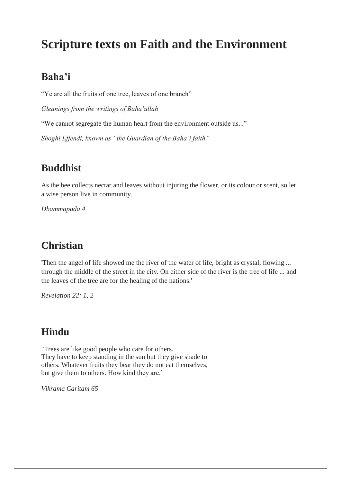# **Scripture texts on Faith and the Environment**

#### **Baha'i**

"Ye are all the fruits of one tree, leaves of one branch"

*Gleanings from the writings of Baha'ullah*

"We cannot segregate the human heart from the environment outside us..."

*Shoghi Effendi, known as "the Guardian of the Baha'i faith"*

#### **Buddhist**

As the bee collects nectar and leaves without injuring the flower, or its colour or scent, so let a wise person live in community.

*Dhammapada 4*

### **Christian**

'Then the angel of life showed me the river of the water of life, bright as crystal, flowing ... through the middle of the street in the city. On either side of the river is the tree of life ... and the leaves of the tree are for the healing of the nations.'

*Revelation 22: 1, 2*

#### **Hindu**

"Trees are like good people who care for others. They have to keep standing in the sun but they give shade to others. Whatever fruits they bear they do not eat themselves, but give them to others. How kind they are.'

*Vikrama Caritam 65*